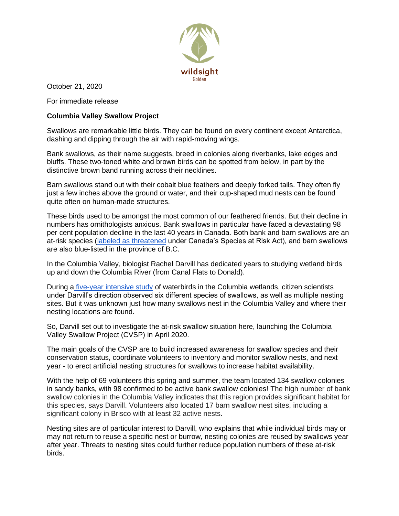

October 21, 2020

For immediate release

## **Columbia Valley Swallow Project**

Swallows are remarkable little birds. They can be found on every continent except Antarctica, dashing and dipping through the air with rapid-moving wings.

Bank swallows, as their name suggests, breed in colonies along riverbanks, lake edges and bluffs. These two-toned white and brown birds can be spotted from below, in part by the distinctive brown band running across their necklines.

Barn swallows stand out with their cobalt blue feathers and deeply forked tails. They often fly just a few inches above the ground or water, and their cup-shaped mud nests can be found quite often on human-made structures.

These birds used to be amongst the most common of our feathered friends. But their decline in numbers has ornithologists anxious. Bank swallows in particular have faced a devastating 98 per cent population decline in the last 40 years in Canada. Both bank and barn swallows are an at-risk species [\(labeled as threatened](https://laws-lois.justice.gc.ca/eng/acts/S-15.3/section-sched435646.html?txthl=swallow) under Canada's Species at Risk Act), and barn swallows are also blue-listed in the province of B.C.

In the Columbia Valley, biologist Rachel Darvill has dedicated years to studying wetland birds up and down the Columbia River (from Canal Flats to Donald).

During a [five-year intensive study](https://wildsight.ca/branches/golden/columbiawetlandswaterbirdsurvey/) of waterbirds in the Columbia wetlands, citizen scientists under Darvill's direction observed six different species of swallows, as well as multiple nesting sites. But it was unknown just how many swallows nest in the Columbia Valley and where their nesting locations are found.

So, Darvill set out to investigate the at-risk swallow situation here, launching the Columbia Valley Swallow Project (CVSP) in April 2020.

The main goals of the CVSP are to build increased awareness for swallow species and their conservation status, coordinate volunteers to inventory and monitor swallow nests, and next year - to erect artificial nesting structures for swallows to increase habitat availability.

With the help of 69 volunteers this spring and summer, the team located 134 swallow colonies in sandy banks, with 98 confirmed to be active bank swallow colonies! The high number of bank swallow colonies in the Columbia Valley indicates that this region provides significant habitat for this species, says Darvill. Volunteers also located 17 barn swallow nest sites, including a significant colony in Brisco with at least 32 active nests.

Nesting sites are of particular interest to Darvill, who explains that while individual birds may or may not return to reuse a specific nest or burrow, nesting colonies are reused by swallows year after year. Threats to nesting sites could further reduce population numbers of these at-risk birds.